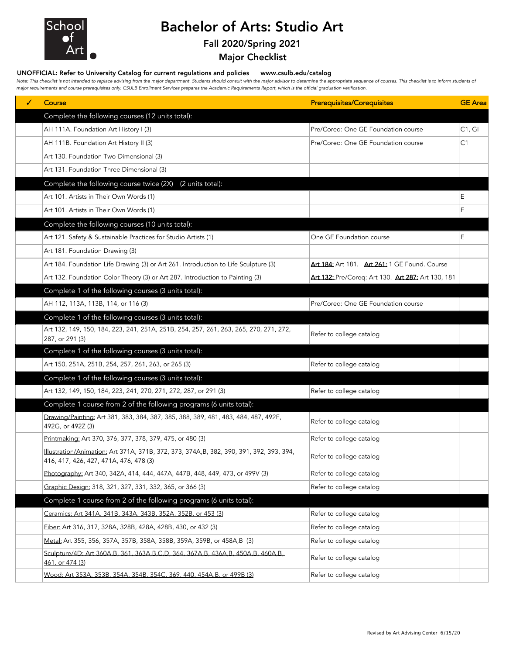

## Bachelor of Arts: Studio Art

## Fall 2020/Spring 2021

Major Checklist

## UNOFFICIAL: Refer to University Catalog for current regulations and policies www.csulb.edu/catalog

Note: This checklist is not intended to replace advising from the major department. Students should consult with the major advisor to determine the appropriate sequence of courses. This checklist is to inform students of *major requirements and course prerequisites only. CSULB Enrollment Services prepares the Academic Requirements Report, which is the official graduation verification.*

| ✓ | Course                                                                                                                             | <b>Prerequisites/Corequisites</b>                  | <b>GE</b> Area |
|---|------------------------------------------------------------------------------------------------------------------------------------|----------------------------------------------------|----------------|
|   | Complete the following courses (12 units total):                                                                                   |                                                    |                |
|   | AH 111A. Foundation Art History I (3)                                                                                              | Pre/Coreq: One GE Foundation course                | C1, G1         |
|   | AH 111B. Foundation Art History II (3)                                                                                             | Pre/Coreq: One GE Foundation course                | C1             |
|   | Art 130. Foundation Two-Dimensional (3)                                                                                            |                                                    |                |
|   | Art 131. Foundation Three Dimensional (3)                                                                                          |                                                    |                |
|   | Complete the following course twice (2X) (2 units total):                                                                          |                                                    |                |
|   | Art 101. Artists in Their Own Words (1)                                                                                            |                                                    | Ε              |
|   | Art 101. Artists in Their Own Words (1)                                                                                            |                                                    | Ε              |
|   | Complete the following courses (10 units total):                                                                                   |                                                    |                |
|   | Art 121. Safety & Sustainable Practices for Studio Artists (1)                                                                     | One GE Foundation course                           | E              |
|   | Art 181. Foundation Drawing (3)                                                                                                    |                                                    |                |
|   | Art 184. Foundation Life Drawing (3) or Art 261. Introduction to Life Sculpture (3)                                                | Art 184: Art 181. Art 261: 1 GE Found. Course      |                |
|   | Art 132. Foundation Color Theory (3) or Art 287. Introduction to Painting (3)                                                      | Art 132: Pre/Coreq: Art 130. Art 287: Art 130, 181 |                |
|   | Complete 1 of the following courses (3 units total):                                                                               |                                                    |                |
|   | AH 112, 113A, 113B, 114, or 116 (3)                                                                                                | Pre/Coreq: One GE Foundation course                |                |
|   | Complete 1 of the following courses (3 units total):                                                                               |                                                    |                |
|   | Art 132, 149, 150, 184, 223, 241, 251A, 251B, 254, 257, 261, 263, 265, 270, 271, 272,<br>287, or 291 (3)                           | Refer to college catalog                           |                |
|   | Complete 1 of the following courses (3 units total):                                                                               |                                                    |                |
|   | Art 150, 251A, 251B, 254, 257, 261, 263, or 265 (3)                                                                                | Refer to college catalog                           |                |
|   | Complete 1 of the following courses (3 units total):                                                                               |                                                    |                |
|   | Art 132, 149, 150, 184, 223, 241, 270, 271, 272, 287, or 291 (3)                                                                   | Refer to college catalog                           |                |
|   | Complete 1 course from 2 of the following programs (6 units total):                                                                |                                                    |                |
|   | Drawing/Painting: Art 381, 383, 384, 387, 385, 388, 389, 481, 483, 484, 487, 492F,<br>492G, or 492Z (3)                            | Refer to college catalog                           |                |
|   | Printmaking: Art 370, 376, 377, 378, 379, 475, or 480 (3)                                                                          | Refer to college catalog                           |                |
|   | Illustration/Animation: Art 371A, 371B, 372, 373, 374A, B, 382, 390, 391, 392, 393, 394,<br>416, 417, 426, 427, 471A, 476, 478 (3) | Refer to college catalog                           |                |
|   | Photography: Art 340, 342A, 414, 444, 447A, 447B, 448, 449, 473, or 499V (3)                                                       | Refer to college catalog                           |                |
|   | Graphic Design: 318, 321, 327, 331, 332, 365, or 366 (3)                                                                           | Refer to college catalog                           |                |
|   | Complete 1 course from 2 of the following programs (6 units total):                                                                |                                                    |                |
|   | Ceramics: Art 341A, 341B, 343A, 343B, 352A, 352B, or 453 (3)                                                                       | Refer to college catalog                           |                |
|   | <u>Fiber:</u> Art 316, 317, 328A, 328B, 428A, 428B, 430, or 432 (3)                                                                | Refer to college catalog                           |                |
|   | Metal: Art 355, 356, 357A, 357B, 358A, 358B, 359A, 359B, or 458A,B (3)                                                             | Refer to college catalog                           |                |
|   | Sculpture/4D: Art 360A, B, 361, 363A, B, C, D, 364, 367A, B, 436A, B, 450A, B, 460A, B,<br>461, or 474 (3)                         | Refer to college catalog                           |                |
|   | Wood: Art 353A, 353B, 354A, 354B, 354C, 369, 440, 454A, B, or 499B (3)                                                             | Refer to college catalog                           |                |